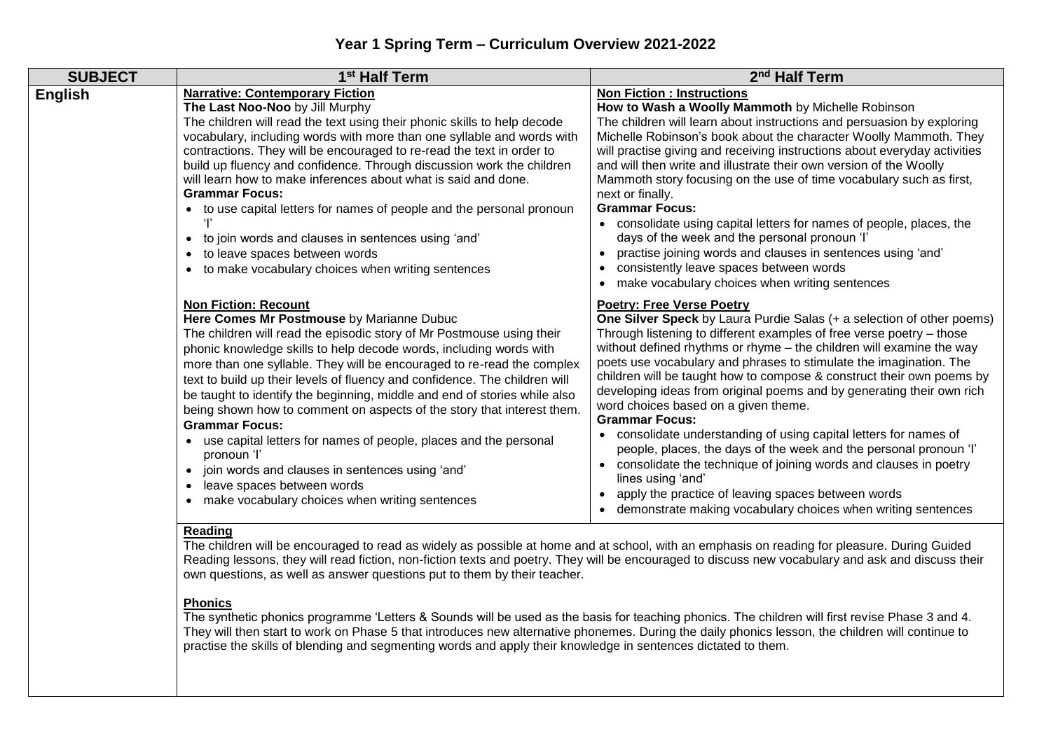| <b>SUBJECT</b> | 1 <sup>st</sup> Half Term                                                                                                                                                                                                                                                                                                                                                                                                                                                                                                                                                                                                                                                                                                                                                                 | 2 <sup>nd</sup> Half Term                                                                                                                                                                                                                                                                                                                                                                                                                                                                                                                                                                                                                                                                                                                                                                                                                                                                                       |
|----------------|-------------------------------------------------------------------------------------------------------------------------------------------------------------------------------------------------------------------------------------------------------------------------------------------------------------------------------------------------------------------------------------------------------------------------------------------------------------------------------------------------------------------------------------------------------------------------------------------------------------------------------------------------------------------------------------------------------------------------------------------------------------------------------------------|-----------------------------------------------------------------------------------------------------------------------------------------------------------------------------------------------------------------------------------------------------------------------------------------------------------------------------------------------------------------------------------------------------------------------------------------------------------------------------------------------------------------------------------------------------------------------------------------------------------------------------------------------------------------------------------------------------------------------------------------------------------------------------------------------------------------------------------------------------------------------------------------------------------------|
| <b>English</b> | <b>Narrative: Contemporary Fiction</b><br>The Last Noo-Noo by Jill Murphy<br>The children will read the text using their phonic skills to help decode<br>vocabulary, including words with more than one syllable and words with<br>contractions. They will be encouraged to re-read the text in order to<br>build up fluency and confidence. Through discussion work the children<br>will learn how to make inferences about what is said and done.<br><b>Grammar Focus:</b><br>• to use capital letters for names of people and the personal pronoun<br>• to join words and clauses in sentences using 'and'<br>• to leave spaces between words<br>• to make vocabulary choices when writing sentences                                                                                   | <b>Non Fiction: Instructions</b><br>How to Wash a Woolly Mammoth by Michelle Robinson<br>The children will learn about instructions and persuasion by exploring<br>Michelle Robinson's book about the character Woolly Mammoth. They<br>will practise giving and receiving instructions about everyday activities<br>and will then write and illustrate their own version of the Woolly<br>Mammoth story focusing on the use of time vocabulary such as first,<br>next or finally.<br><b>Grammar Focus:</b><br>• consolidate using capital letters for names of people, places, the<br>days of the week and the personal pronoun 'I'<br>practise joining words and clauses in sentences using 'and'<br>consistently leave spaces between words<br>make vocabulary choices when writing sentences                                                                                                                |
|                | <b>Non Fiction: Recount</b><br>Here Comes Mr Postmouse by Marianne Dubuc<br>The children will read the episodic story of Mr Postmouse using their<br>phonic knowledge skills to help decode words, including words with<br>more than one syllable. They will be encouraged to re-read the complex<br>text to build up their levels of fluency and confidence. The children will<br>be taught to identify the beginning, middle and end of stories while also<br>being shown how to comment on aspects of the story that interest them.<br><b>Grammar Focus:</b><br>• use capital letters for names of people, places and the personal<br>pronoun 'l'<br>• join words and clauses in sentences using 'and'<br>leave spaces between words<br>make vocabulary choices when writing sentences | <b>Poetry: Free Verse Poetry</b><br>One Silver Speck by Laura Purdie Salas (+ a selection of other poems)<br>Through listening to different examples of free verse poetry - those<br>without defined rhythms or rhyme - the children will examine the way<br>poets use vocabulary and phrases to stimulate the imagination. The<br>children will be taught how to compose & construct their own poems by<br>developing ideas from original poems and by generating their own rich<br>word choices based on a given theme.<br><b>Grammar Focus:</b><br>• consolidate understanding of using capital letters for names of<br>people, places, the days of the week and the personal pronoun 'l'<br>• consolidate the technique of joining words and clauses in poetry<br>lines using 'and'<br>apply the practice of leaving spaces between words<br>• demonstrate making vocabulary choices when writing sentences |

## **Reading**

The children will be encouraged to read as widely as possible at home and at school, with an emphasis on reading for pleasure. During Guided Reading lessons, they will read fiction, non-fiction texts and poetry. They will be encouraged to discuss new vocabulary and ask and discuss their own questions, as well as answer questions put to them by their teacher.

## **Phonics**

The synthetic phonics programme 'Letters & Sounds will be used as the basis for teaching phonics. The children will first revise Phase 3 and 4. They will then start to work on Phase 5 that introduces new alternative phonemes. During the daily phonics lesson, the children will continue to practise the skills of blending and segmenting words and apply their knowledge in sentences dictated to them.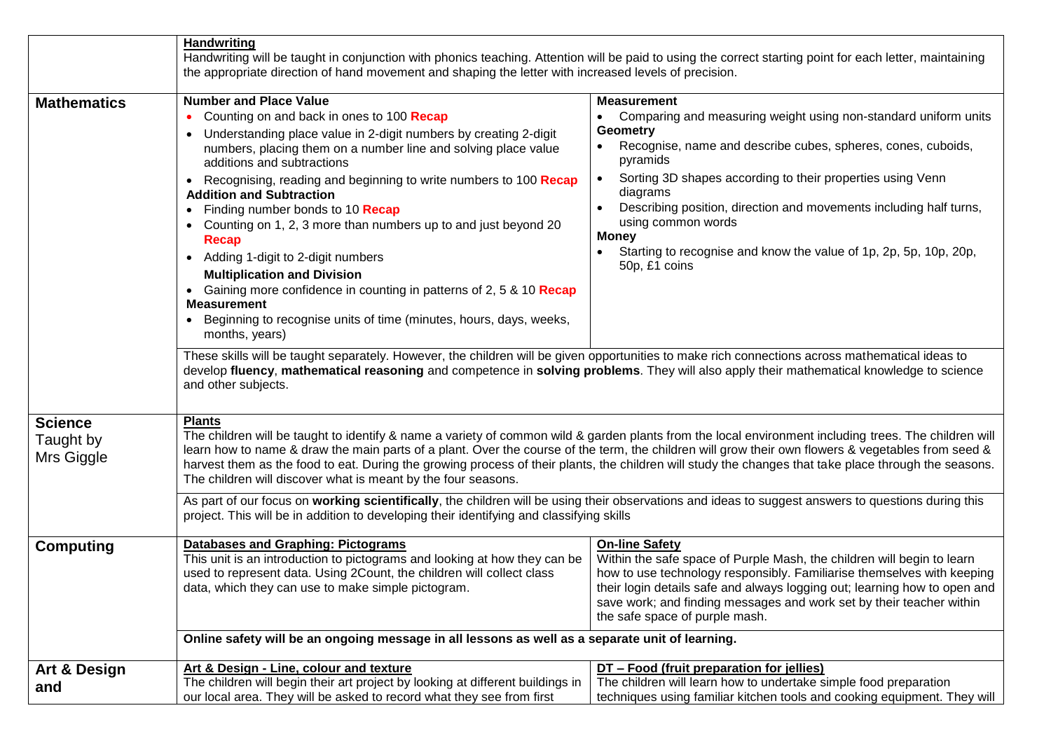|                                           | <b>Handwriting</b>                                                                                                                                                                                                                                                                                                                                                                                                                                                                                                                                                                                                                                                                                                                                                                    |                                                                                                                                                                                                                                                                                                                                                                                                                                                           |  |  |
|-------------------------------------------|---------------------------------------------------------------------------------------------------------------------------------------------------------------------------------------------------------------------------------------------------------------------------------------------------------------------------------------------------------------------------------------------------------------------------------------------------------------------------------------------------------------------------------------------------------------------------------------------------------------------------------------------------------------------------------------------------------------------------------------------------------------------------------------|-----------------------------------------------------------------------------------------------------------------------------------------------------------------------------------------------------------------------------------------------------------------------------------------------------------------------------------------------------------------------------------------------------------------------------------------------------------|--|--|
|                                           | Handwriting will be taught in conjunction with phonics teaching. Attention will be paid to using the correct starting point for each letter, maintaining                                                                                                                                                                                                                                                                                                                                                                                                                                                                                                                                                                                                                              |                                                                                                                                                                                                                                                                                                                                                                                                                                                           |  |  |
|                                           | the appropriate direction of hand movement and shaping the letter with increased levels of precision.                                                                                                                                                                                                                                                                                                                                                                                                                                                                                                                                                                                                                                                                                 |                                                                                                                                                                                                                                                                                                                                                                                                                                                           |  |  |
| <b>Mathematics</b>                        | <b>Number and Place Value</b><br>Counting on and back in ones to 100 Recap<br>Understanding place value in 2-digit numbers by creating 2-digit<br>$\bullet$<br>numbers, placing them on a number line and solving place value<br>additions and subtractions<br>Recognising, reading and beginning to write numbers to 100 Recap<br>$\bullet$<br><b>Addition and Subtraction</b><br>• Finding number bonds to 10 <b>Recap</b><br>• Counting on 1, 2, 3 more than numbers up to and just beyond 20<br>Recap<br>Adding 1-digit to 2-digit numbers<br>$\bullet$<br><b>Multiplication and Division</b><br>Gaining more confidence in counting in patterns of 2, 5 & 10 Recap<br><b>Measurement</b><br>Beginning to recognise units of time (minutes, hours, days, weeks,<br>months, years) | <b>Measurement</b><br>Comparing and measuring weight using non-standard uniform units<br><b>Geometry</b><br>Recognise, name and describe cubes, spheres, cones, cuboids,<br>pyramids<br>Sorting 3D shapes according to their properties using Venn<br>diagrams<br>Describing position, direction and movements including half turns,<br>using common words<br>Money<br>Starting to recognise and know the value of 1p, 2p, 5p, 10p, 20p,<br>50p, £1 coins |  |  |
|                                           | These skills will be taught separately. However, the children will be given opportunities to make rich connections across mathematical ideas to<br>develop fluency, mathematical reasoning and competence in solving problems. They will also apply their mathematical knowledge to science<br>and other subjects.                                                                                                                                                                                                                                                                                                                                                                                                                                                                    |                                                                                                                                                                                                                                                                                                                                                                                                                                                           |  |  |
| <b>Science</b><br>Taught by<br>Mrs Giggle | <b>Plants</b><br>The children will be taught to identify & name a variety of common wild & garden plants from the local environment including trees. The children will<br>learn how to name & draw the main parts of a plant. Over the course of the term, the children will grow their own flowers & vegetables from seed &<br>harvest them as the food to eat. During the growing process of their plants, the children will study the changes that take place through the seasons.<br>The children will discover what is meant by the four seasons.                                                                                                                                                                                                                                |                                                                                                                                                                                                                                                                                                                                                                                                                                                           |  |  |
|                                           | As part of our focus on working scientifically, the children will be using their observations and ideas to suggest answers to questions during this<br>project. This will be in addition to developing their identifying and classifying skills                                                                                                                                                                                                                                                                                                                                                                                                                                                                                                                                       |                                                                                                                                                                                                                                                                                                                                                                                                                                                           |  |  |
| <b>Computing</b>                          | <b>Databases and Graphing: Pictograms</b><br>This unit is an introduction to pictograms and looking at how they can be<br>used to represent data. Using 2Count, the children will collect class<br>data, which they can use to make simple pictogram.                                                                                                                                                                                                                                                                                                                                                                                                                                                                                                                                 | <b>On-line Safety</b><br>Within the safe space of Purple Mash, the children will begin to learn<br>how to use technology responsibly. Familiarise themselves with keeping<br>their login details safe and always logging out; learning how to open and<br>save work; and finding messages and work set by their teacher within<br>the safe space of purple mash.                                                                                          |  |  |
|                                           | Online safety will be an ongoing message in all lessons as well as a separate unit of learning.                                                                                                                                                                                                                                                                                                                                                                                                                                                                                                                                                                                                                                                                                       |                                                                                                                                                                                                                                                                                                                                                                                                                                                           |  |  |
|                                           | Art & Design - Line, colour and texture                                                                                                                                                                                                                                                                                                                                                                                                                                                                                                                                                                                                                                                                                                                                               | DT - Food (fruit preparation for jellies)                                                                                                                                                                                                                                                                                                                                                                                                                 |  |  |
| Art & Design<br>and                       | The children will begin their art project by looking at different buildings in<br>our local area. They will be asked to record what they see from first                                                                                                                                                                                                                                                                                                                                                                                                                                                                                                                                                                                                                               | The children will learn how to undertake simple food preparation<br>techniques using familiar kitchen tools and cooking equipment. They will                                                                                                                                                                                                                                                                                                              |  |  |